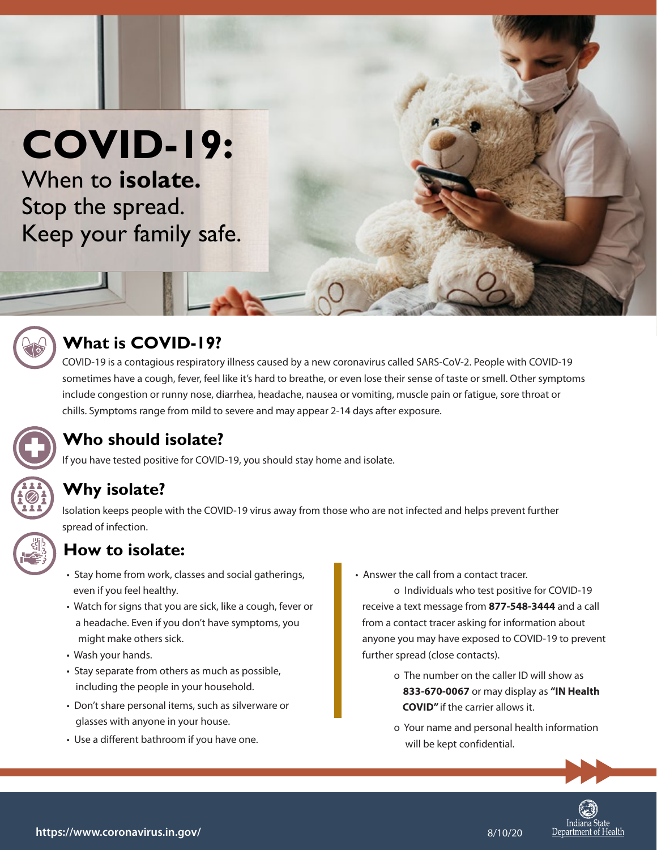# **COVID-19:**

When to **isolate.** Stop the spread. Keep your family safe.



#### **What is COVID-19?**

COVID-19 is a contagious respiratory illness caused by a new coronavirus called SARS-CoV-2. People with COVID-19 sometimes have a cough, fever, feel like it's hard to breathe, or even lose their sense of taste or smell. Other symptoms include congestion or runny nose, diarrhea, headache, nausea or vomiting, muscle pain or fatigue, sore throat or chills. Symptoms range from mild to severe and may appear 2-14 days after exposure.



### **Who should isolate?**

If you have tested positive for COVID-19, you should stay home and isolate.

#### **Why isolate?**

Isolation keeps people with the COVID-19 virus away from those who are not infected and helps prevent further spread of infection.

#### **How to isolate:**

- Stay home from work, classes and social gatherings, even if you feel healthy.
- Watch for signs that you are sick, like a cough, fever or a headache. Even if you don't have symptoms, you might make others sick.
- Wash your hands.
- Stay separate from others as much as possible, including the people in your household.
- Don't share personal items, such as silverware or glasses with anyone in your house.
- Use a different bathroom if you have one.

• Answer the call from a contact tracer.

 o Individuals who test positive for COVID-19 receive a text message from **877-548-3444** and a call from a contact tracer asking for information about anyone you may have exposed to COVID-19 to prevent further spread (close contacts).

- o The number on the caller ID will show as **833-670-0067** or may display as **"IN Health COVID"** if the carrier allows it.
- o Your name and personal health information will be kept confidential.